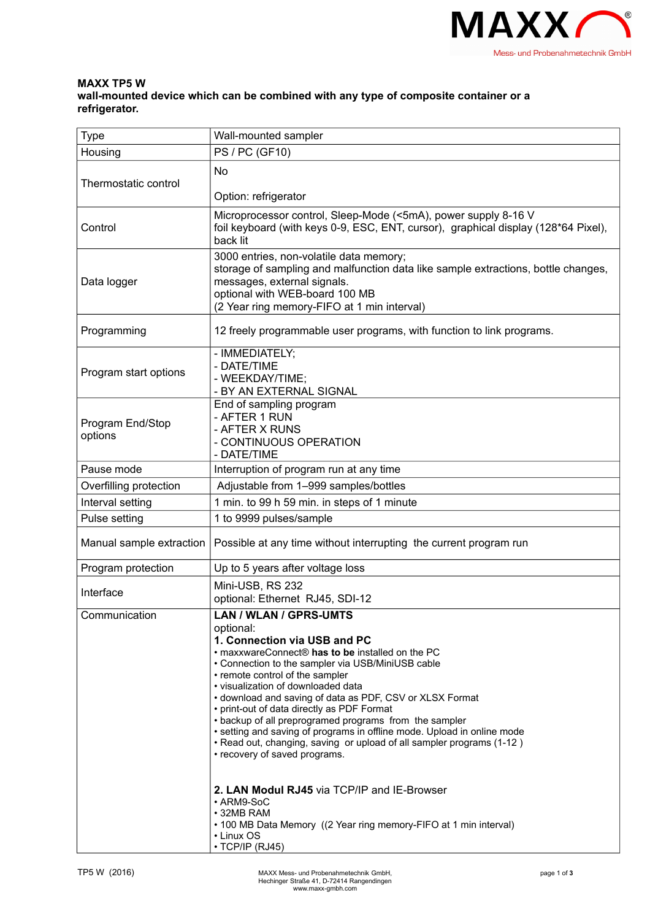

## **MAXX TP5 W wall-mounted device which can be combined with any type of composite container or a refrigerator.**

| <b>Type</b>                 | Wall-mounted sampler                                                                                                                                                                                                                                                                                                                                                                                                                                                                                                                                                                                                                                                                                                                                                                                        |
|-----------------------------|-------------------------------------------------------------------------------------------------------------------------------------------------------------------------------------------------------------------------------------------------------------------------------------------------------------------------------------------------------------------------------------------------------------------------------------------------------------------------------------------------------------------------------------------------------------------------------------------------------------------------------------------------------------------------------------------------------------------------------------------------------------------------------------------------------------|
| Housing                     | <b>PS / PC (GF10)</b>                                                                                                                                                                                                                                                                                                                                                                                                                                                                                                                                                                                                                                                                                                                                                                                       |
| Thermostatic control        | No                                                                                                                                                                                                                                                                                                                                                                                                                                                                                                                                                                                                                                                                                                                                                                                                          |
|                             | Option: refrigerator                                                                                                                                                                                                                                                                                                                                                                                                                                                                                                                                                                                                                                                                                                                                                                                        |
| Control                     | Microprocessor control, Sleep-Mode (<5mA), power supply 8-16 V<br>foil keyboard (with keys 0-9, ESC, ENT, cursor), graphical display (128*64 Pixel),<br>back lit                                                                                                                                                                                                                                                                                                                                                                                                                                                                                                                                                                                                                                            |
| Data logger                 | 3000 entries, non-volatile data memory;<br>storage of sampling and malfunction data like sample extractions, bottle changes,<br>messages, external signals.<br>optional with WEB-board 100 MB<br>(2 Year ring memory-FIFO at 1 min interval)                                                                                                                                                                                                                                                                                                                                                                                                                                                                                                                                                                |
| Programming                 | 12 freely programmable user programs, with function to link programs.                                                                                                                                                                                                                                                                                                                                                                                                                                                                                                                                                                                                                                                                                                                                       |
| Program start options       | - IMMEDIATELY;<br>- DATE/TIME<br>- WEEKDAY/TIME;<br>- BY AN EXTERNAL SIGNAL                                                                                                                                                                                                                                                                                                                                                                                                                                                                                                                                                                                                                                                                                                                                 |
| Program End/Stop<br>options | End of sampling program<br>- AFTER 1 RUN<br>- AFTER X RUNS<br>- CONTINUOUS OPERATION<br>- DATE/TIME                                                                                                                                                                                                                                                                                                                                                                                                                                                                                                                                                                                                                                                                                                         |
| Pause mode                  | Interruption of program run at any time                                                                                                                                                                                                                                                                                                                                                                                                                                                                                                                                                                                                                                                                                                                                                                     |
| Overfilling protection      | Adjustable from 1-999 samples/bottles                                                                                                                                                                                                                                                                                                                                                                                                                                                                                                                                                                                                                                                                                                                                                                       |
| Interval setting            | 1 min. to 99 h 59 min. in steps of 1 minute                                                                                                                                                                                                                                                                                                                                                                                                                                                                                                                                                                                                                                                                                                                                                                 |
| Pulse setting               | 1 to 9999 pulses/sample                                                                                                                                                                                                                                                                                                                                                                                                                                                                                                                                                                                                                                                                                                                                                                                     |
| Manual sample extraction    | Possible at any time without interrupting the current program run                                                                                                                                                                                                                                                                                                                                                                                                                                                                                                                                                                                                                                                                                                                                           |
| Program protection          | Up to 5 years after voltage loss                                                                                                                                                                                                                                                                                                                                                                                                                                                                                                                                                                                                                                                                                                                                                                            |
| Interface                   | Mini-USB, RS 232<br>optional: Ethernet RJ45, SDI-12                                                                                                                                                                                                                                                                                                                                                                                                                                                                                                                                                                                                                                                                                                                                                         |
| Communication               | LAN / WLAN / GPRS-UMTS<br>optional:<br>1. Connection via USB and PC<br>• maxxwareConnect® has to be installed on the PC<br>• Connection to the sampler via USB/MiniUSB cable<br>• remote control of the sampler<br>· visualization of downloaded data<br>• download and saving of data as PDF, CSV or XLSX Format<br>• print-out of data directly as PDF Format<br>• backup of all preprogramed programs from the sampler<br>• setting and saving of programs in offline mode. Upload in online mode<br>• Read out, changing, saving or upload of all sampler programs (1-12)<br>• recovery of saved programs.<br>2. LAN Modul RJ45 via TCP/IP and IE-Browser<br>• ARM9-SoC<br>$\cdot$ 32MB RAM<br>• 100 MB Data Memory ((2 Year ring memory-FIFO at 1 min interval)<br>• Linux OS<br>$\cdot$ TCP/IP (RJ45) |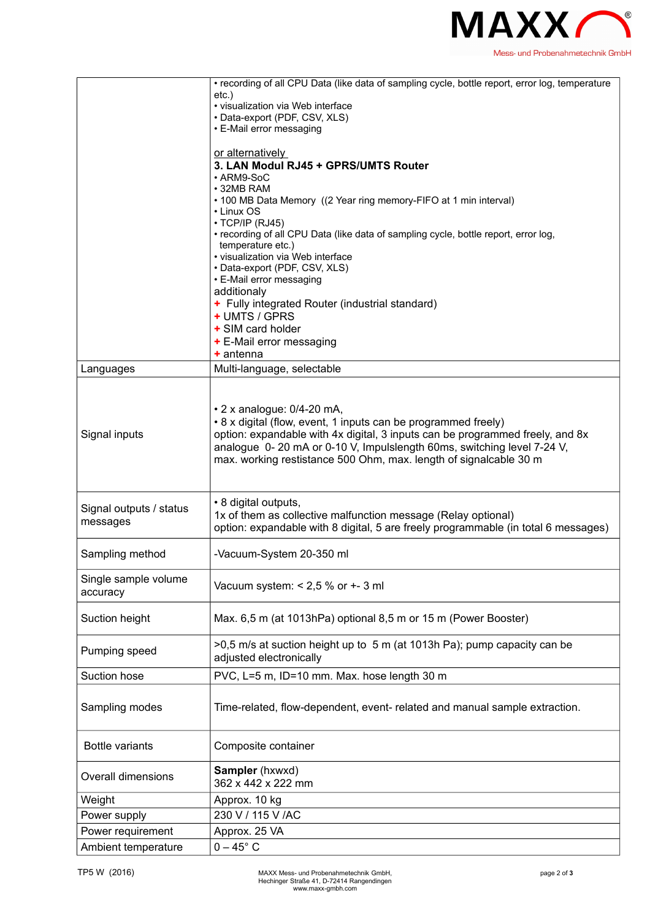

|                         | • recording of all CPU Data (like data of sampling cycle, bottle report, error log, temperature        |
|-------------------------|--------------------------------------------------------------------------------------------------------|
|                         | etc.)                                                                                                  |
|                         | · visualization via Web interface                                                                      |
|                         | • Data-export (PDF, CSV, XLS)                                                                          |
|                         | • E-Mail error messaging                                                                               |
|                         | or alternatively                                                                                       |
|                         | 3. LAN Modul RJ45 + GPRS/UMTS Router                                                                   |
|                         | • ARM9-SoC                                                                                             |
|                         | • 32MB RAM                                                                                             |
|                         | • 100 MB Data Memory ((2 Year ring memory-FIFO at 1 min interval)                                      |
|                         | • Linux OS                                                                                             |
|                         | · TCP/IP (RJ45)<br>• recording of all CPU Data (like data of sampling cycle, bottle report, error log, |
|                         | temperature etc.)                                                                                      |
|                         | • visualization via Web interface                                                                      |
|                         | • Data-export (PDF, CSV, XLS)                                                                          |
|                         | • E-Mail error messaging                                                                               |
|                         | additionaly                                                                                            |
|                         | + Fully integrated Router (industrial standard)<br>+ UMTS / GPRS                                       |
|                         | + SIM card holder                                                                                      |
|                         | + E-Mail error messaging                                                                               |
|                         | $+$ antenna                                                                                            |
| Languages               | Multi-language, selectable                                                                             |
|                         |                                                                                                        |
|                         |                                                                                                        |
|                         | $\cdot$ 2 x analogue: 0/4-20 mA,                                                                       |
|                         | • 8 x digital (flow, event, 1 inputs can be programmed freely)                                         |
| Signal inputs           | option: expandable with 4x digital, 3 inputs can be programmed freely, and 8x                          |
|                         | analogue 0-20 mA or 0-10 V, Impulslength 60ms, switching level 7-24 V,                                 |
|                         | max. working restistance 500 Ohm, max. length of signalcable 30 m                                      |
|                         |                                                                                                        |
|                         |                                                                                                        |
| Signal outputs / status | • 8 digital outputs,                                                                                   |
| messages                | 1x of them as collective malfunction message (Relay optional)                                          |
|                         | option: expandable with 8 digital, 5 are freely programmable (in total 6 messages)                     |
| Sampling method         | -Vacuum-System 20-350 ml                                                                               |
|                         |                                                                                                        |
| Single sample volume    |                                                                                                        |
| accuracy                | Vacuum system: $< 2.5$ % or $+ - 3$ ml                                                                 |
|                         |                                                                                                        |
| Suction height          | Max. 6,5 m (at 1013hPa) optional 8,5 m or 15 m (Power Booster)                                         |
|                         |                                                                                                        |
|                         | >0,5 m/s at suction height up to 5 m (at 1013h Pa); pump capacity can be                               |
| Pumping speed           | adjusted electronically                                                                                |
| Suction hose            | PVC, L=5 m, ID=10 mm. Max. hose length 30 m                                                            |
|                         |                                                                                                        |
|                         |                                                                                                        |
| Sampling modes          | Time-related, flow-dependent, event- related and manual sample extraction.                             |
|                         |                                                                                                        |
| <b>Bottle variants</b>  | Composite container                                                                                    |
|                         |                                                                                                        |
|                         | Sampler (hxwxd)                                                                                        |
| Overall dimensions      | 362 x 442 x 222 mm                                                                                     |
| Weight                  | Approx. 10 kg                                                                                          |
| Power supply            | 230 V / 115 V / AC                                                                                     |
| Power requirement       | Approx. 25 VA                                                                                          |
|                         |                                                                                                        |
| Ambient temperature     | $0-45^\circ$ C                                                                                         |